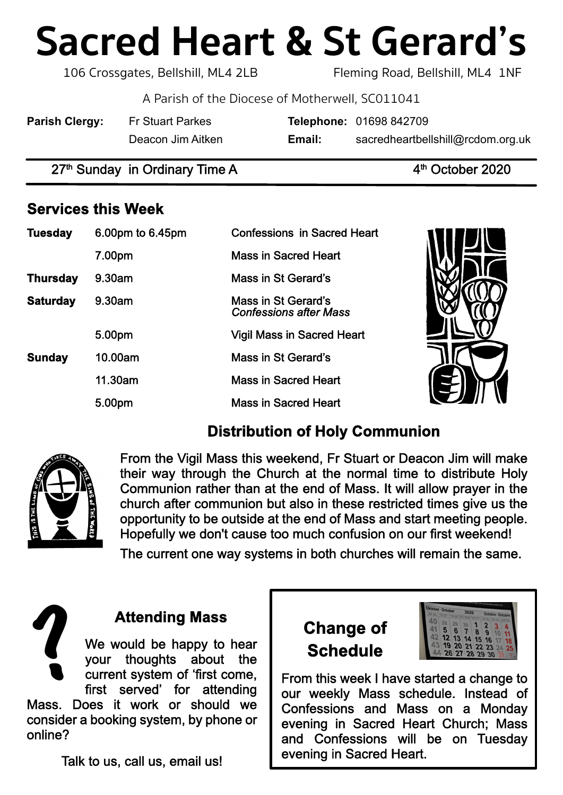# **Sacred Heart & St Gerard's**

106 Crossgates, Bellshill, ML4 2LB Fleming Road, Bellshill, ML4 1NF

A Parish of the Diocese of Motherwell, SC011041

| <b>Parish Clergy:</b> | Fr Stuart Parkes  |        | <b>Telephone: 01698 842709</b>    |
|-----------------------|-------------------|--------|-----------------------------------|
|                       | Deacon Jim Aitken | Email: | sacredheartbellshill@rcdom.org.uk |

 $27<sup>th</sup>$  Sunday in Ordinary Time A  $4<sup>th</sup>$  October 2020

# **Services this Week**

| <b>Tuesday</b>  | 6.00pm to 6.45pm | <b>Confessions in Sacred Heart</b>                          |  |
|-----------------|------------------|-------------------------------------------------------------|--|
|                 | 7.00pm           | <b>Mass in Sacred Heart</b>                                 |  |
| <b>Thursday</b> | 9.30am           | <b>Mass in St Gerard's</b>                                  |  |
| <b>Saturday</b> | 9.30am           | <b>Mass in St Gerard's</b><br><b>Confessions after Mass</b> |  |
|                 | 5.00pm           | <b>Vigil Mass in Sacred Heart</b>                           |  |
| <b>Sunday</b>   | 10.00am          | <b>Mass in St Gerard's</b>                                  |  |
|                 | 11.30am          | <b>Mass in Sacred Heart</b>                                 |  |
|                 | 5.00pm           | <b>Mass in Sacred Heart</b>                                 |  |

# **Distribution of Holy Communion**



From the Vigil Mass this weekend, Fr Stuart or Deacon Jim will make their way through the Church at the normal time to distribute Holy Communion rather than at the end of Mass. It will allow prayer in the church after communion but also in these restricted times give us the opportunity to be outside at the end of Mass and start meeting people. Hopefully we don't cause too much confusion on our first weekend!

The current one way systems in both churches will remain the same.







From this week I have started a change to our weekly Mass schedule. Instead of Confessions and Mass on a Monday evening in Sacred Heart Church; Mass and Confessions will be on Tuesday evening in Sacred Heart.

Talk to us, call us, email us!